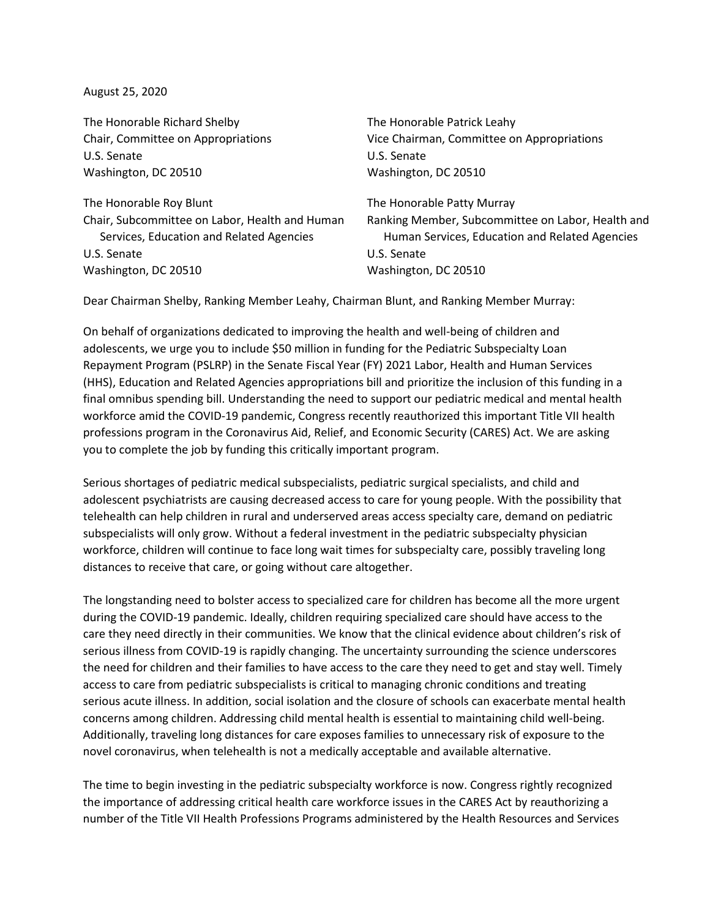August 25, 2020

The Honorable Richard Shelby The Honorable Patrick Leahy U.S. Senate U.S. Senate Washington, DC 20510 Washington, DC 20510

The Honorable Roy Blunt The Honorable Patty Murray U.S. Senate U.S. Senate Washington, DC 20510 Washington, DC 20510

Chair, Committee on Appropriations Vice Chairman, Committee on Appropriations

Chair, Subcommittee on Labor, Health and Human Ranking Member, Subcommittee on Labor, Health and Services, Education and Related Agencies **Human Services, Education and Related Agencies** 

Dear Chairman Shelby, Ranking Member Leahy, Chairman Blunt, and Ranking Member Murray:

On behalf of organizations dedicated to improving the health and well-being of children and adolescents, we urge you to include \$50 million in funding for the Pediatric Subspecialty Loan Repayment Program (PSLRP) in the Senate Fiscal Year (FY) 2021 Labor, Health and Human Services (HHS), Education and Related Agencies appropriations bill and prioritize the inclusion of this funding in a final omnibus spending bill. Understanding the need to support our pediatric medical and mental health workforce amid the COVID-19 pandemic, Congress recently reauthorized this important Title VII health professions program in the Coronavirus Aid, Relief, and Economic Security (CARES) Act. We are asking you to complete the job by funding this critically important program.

Serious shortages of pediatric medical subspecialists, pediatric surgical specialists, and child and adolescent psychiatrists are causing decreased access to care for young people. With the possibility that telehealth can help children in rural and underserved areas access specialty care, demand on pediatric subspecialists will only grow. Without a federal investment in the pediatric subspecialty physician workforce, children will continue to face long wait times for subspecialty care, possibly traveling long distances to receive that care, or going without care altogether.

The longstanding need to bolster access to specialized care for children has become all the more urgent during the COVID-19 pandemic. Ideally, children requiring specialized care should have access to the care they need directly in their communities. We know that the clinical evidence about children's risk of serious illness from COVID-19 is rapidly changing. The uncertainty surrounding the science underscores the need for children and their families to have access to the care they need to get and stay well. Timely access to care from pediatric subspecialists is critical to managing chronic conditions and treating serious acute illness. In addition, social isolation and the closure of schools can exacerbate mental health concerns among children. Addressing child mental health is essential to maintaining child well-being. Additionally, traveling long distances for care exposes families to unnecessary risk of exposure to the novel coronavirus, when telehealth is not a medically acceptable and available alternative.

The time to begin investing in the pediatric subspecialty workforce is now. Congress rightly recognized the importance of addressing critical health care workforce issues in the CARES Act by reauthorizing a number of the Title VII Health Professions Programs administered by the Health Resources and Services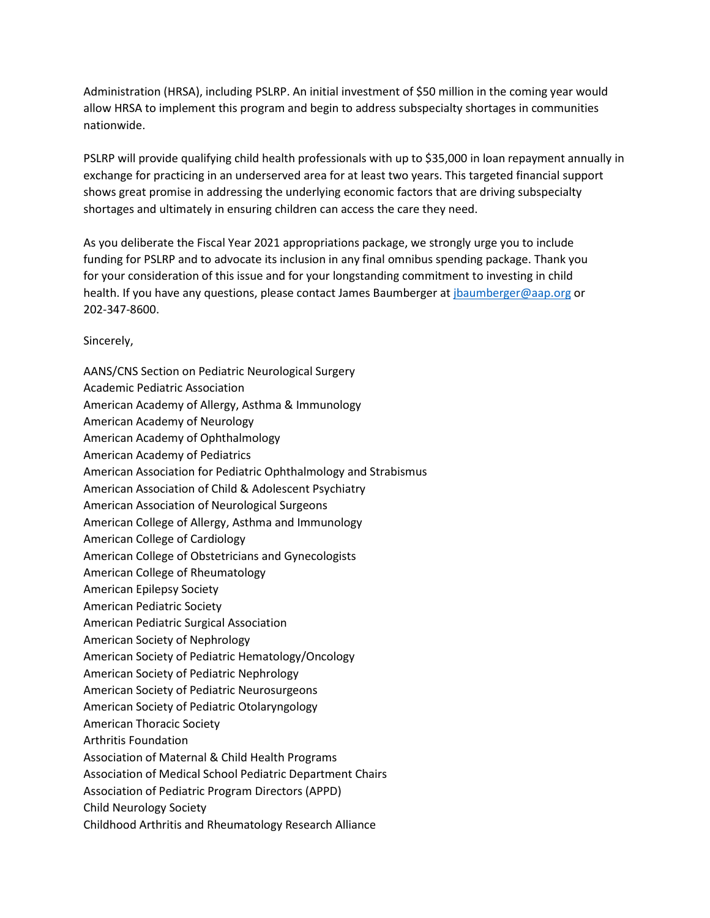Administration (HRSA), including PSLRP. An initial investment of \$50 million in the coming year would allow HRSA to implement this program and begin to address subspecialty shortages in communities nationwide.

PSLRP will provide qualifying child health professionals with up to \$35,000 in loan repayment annually in exchange for practicing in an underserved area for at least two years. This targeted financial support shows great promise in addressing the underlying economic factors that are driving subspecialty shortages and ultimately in ensuring children can access the care they need.

As you deliberate the Fiscal Year 2021 appropriations package, we strongly urge you to include funding for PSLRP and to advocate its inclusion in any final omnibus spending package. Thank you for your consideration of this issue and for your longstanding commitment to investing in child health. If you have any questions, please contact James Baumberger at [jbaumberger@aap.org](mailto:jbaumberger@aap.org) or 202-347-8600.

Sincerely,

AANS/CNS Section on Pediatric Neurological Surgery Academic Pediatric Association American Academy of Allergy, Asthma & Immunology American Academy of Neurology American Academy of Ophthalmology American Academy of Pediatrics American Association for Pediatric Ophthalmology and Strabismus American Association of Child & Adolescent Psychiatry American Association of Neurological Surgeons American College of Allergy, Asthma and Immunology American College of Cardiology American College of Obstetricians and Gynecologists American College of Rheumatology American Epilepsy Society American Pediatric Society American Pediatric Surgical Association American Society of Nephrology American Society of Pediatric Hematology/Oncology American Society of Pediatric Nephrology American Society of Pediatric Neurosurgeons American Society of Pediatric Otolaryngology American Thoracic Society Arthritis Foundation Association of Maternal & Child Health Programs Association of Medical School Pediatric Department Chairs Association of Pediatric Program Directors (APPD) Child Neurology Society Childhood Arthritis and Rheumatology Research Alliance